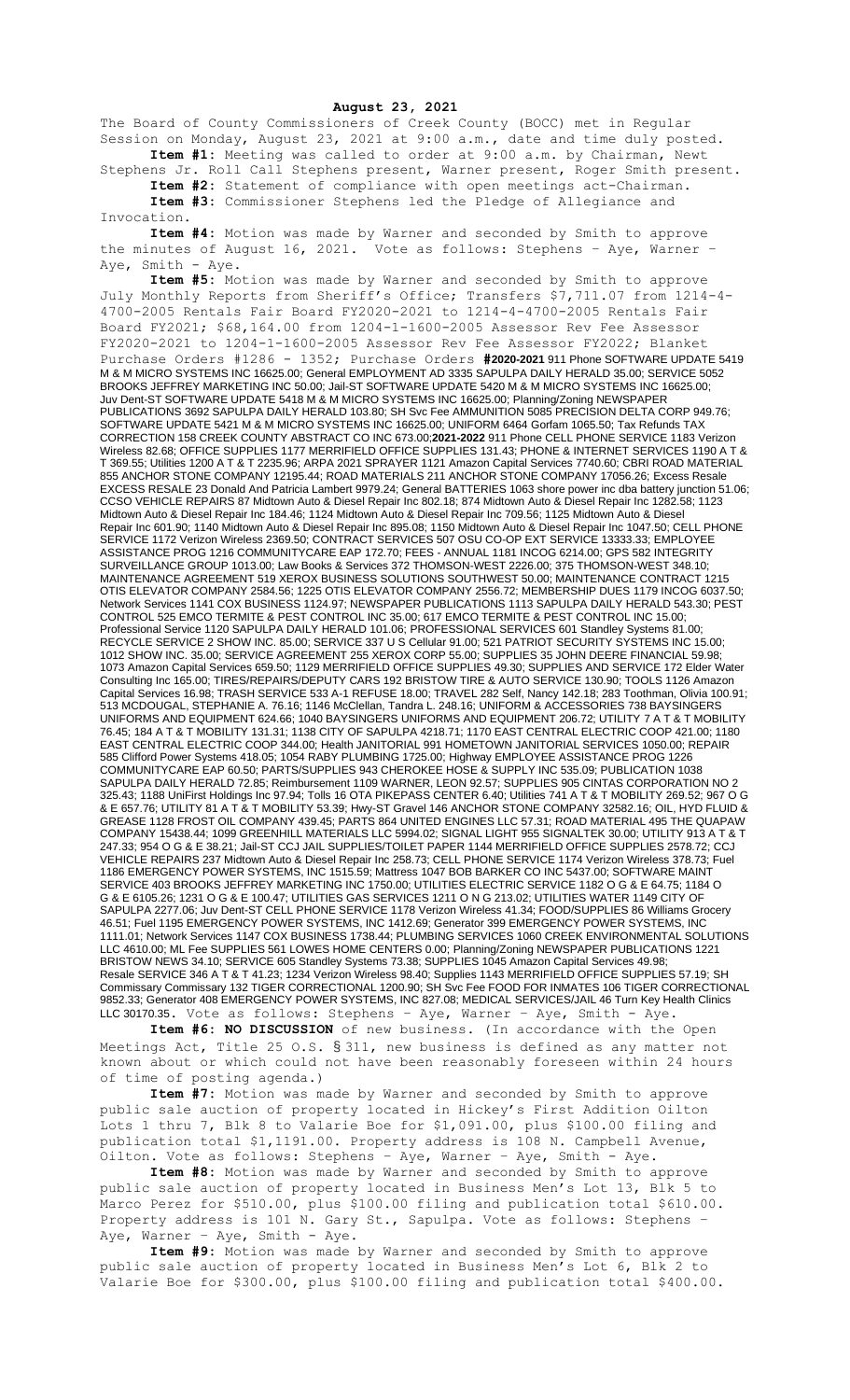**August 23, 2021**

The Board of County Commissioners of Creek County (BOCC) met in Regular Session on Monday, August 23, 2021 at 9:00 a.m., date and time duly posted. **Item #1:** Meeting was called to order at 9:00 a.m. by Chairman, Newt

Stephens Jr. Roll Call Stephens present, Warner present, Roger Smith present. **Item #2:** Statement of compliance with open meetings act-Chairman. **Item #3:** Commissioner Stephens led the Pledge of Allegiance and

Invocation.

**Item #4:** Motion was made by Warner and seconded by Smith to approve the minutes of August 16, 2021. Vote as follows: Stephens - Aye, Warner Vote as follows: Stephens - Aye, Warner -Aye, Smith - Aye.

**Item #5:** Motion was made by Warner and seconded by Smith to approve July Monthly Reports from Sheriff's Office; Transfers \$7,711.07 from 1214-4- 4700-2005 Rentals Fair Board FY2020-2021 to 1214-4-4700-2005 Rentals Fair Board FY2021; \$68,164.00 from 1204-1-1600-2005 Assessor Rev Fee Assessor FY2020-2021 to 1204-1-1600-2005 Assessor Rev Fee Assessor FY2022; Blanket Purchase Orders #1286 - 1352; Purchase Orders **#2020-2021** 911 Phone SOFTWARE UPDATE 5419 M & M MICRO SYSTEMS INC 16625.00; General EMPLOYMENT AD 3335 SAPULPA DAILY HERALD 35.00; SERVICE 5052 BROOKS JEFFREY MARKETING INC 50.00; Jail-ST SOFTWARE UPDATE 5420 M & M MICRO SYSTEMS INC 16625.00; Juv Dent-ST SOFTWARE UPDATE 5418 M & M MICRO SYSTEMS INC 16625.00; Planning/Zoning NEWSPAPER PUBLICATIONS 3692 SAPULPA DAILY HERALD 103.80; SH Svc Fee AMMUNITION 5085 PRECISION DELTA CORP 949.76; SOFTWARE UPDATE 5421 M & M MICRO SYSTEMS INC 16625.00; UNIFORM 6464 Gorfam 1065.50; Tax Refunds TAX CORRECTION 158 CREEK COUNTY ABSTRACT CO INC 673.00;**2021-2022** 911 Phone CELL PHONE SERVICE 1183 Verizon Wireless 82.68; OFFICE SUPPLIES 1177 MERRIFIELD OFFICE SUPPLIES 131.43; PHONE & INTERNET SERVICES 1190 A T & T 369.55; Utilities 1200 A T & T 2235.96; ARPA 2021 SPRAYER 1121 Amazon Capital Services 7740.60; CBRI ROAD MATERIAL 855 ANCHOR STONE COMPANY 12195.44; ROAD MATERIALS 211 ANCHOR STONE COMPANY 17056.26; Excess Resale EXCESS RESALE 23 Donald And Patricia Lambert 9979.24; General BATTERIES 1063 shore power inc dba battery junction 51.06; CCSO VEHICLE REPAIRS 87 Midtown Auto & Diesel Repair Inc 802.18; 874 Midtown Auto & Diesel Repair Inc 1282.58; 1123 Midtown Auto & Diesel Repair Inc 184.46; 1124 Midtown Auto & Diesel Repair Inc 709.56; 1125 Midtown Auto & Diesel Repair Inc 601.90; 1140 Midtown Auto & Diesel Repair Inc 895.08; 1150 Midtown Auto & Diesel Repair Inc 1047.50; CELL PHONE SERVICE 1172 Verizon Wireless 2369.50; CONTRACT SERVICES 507 OSU CO-OP EXT SERVICE 13333.33; EMPLOYEE ASSISTANCE PROG 1216 COMMUNITYCARE EAP 172.70; FEES - ANNUAL 1181 INCOG 6214.00; GPS 582 INTEGRITY SURVEILLANCE GROUP 1013.00; Law Books & Services 372 THOMSON-WEST 2226.00; 375 THOMSON-WEST 348.10; MAINTENANCE AGREEMENT 519 XEROX BUSINESS SOLUTIONS SOUTHWEST 50.00; MAINTENANCE CONTRACT 1215 OTIS ELEVATOR COMPANY 2584.56; 1225 OTIS ELEVATOR COMPANY 2556.72; MEMBERSHIP DUES 1179 INCOG 6037.50; Network Services 1141 COX BUSINESS 1124.97; NEWSPAPER PUBLICATIONS 1113 SAPULPA DAILY HERALD 543.30; PEST CONTROL 525 EMCO TERMITE & PEST CONTROL INC 35.00; 617 EMCO TERMITE & PEST CONTROL INC 15.00; Professional Service 1120 SAPULPA DAILY HERALD 101.06; PROFESSIONAL SERVICES 601 Standley Systems 81.00; RECYCLE SERVICE 2 SHOW INC. 85.00; SERVICE 337 U S Cellular 91.00; 521 PATRIOT SECURITY SYSTEMS INC 15.00; 1012 SHOW INC. 35.00; SERVICE AGREEMENT 255 XEROX CORP 55.00; SUPPLIES 35 JOHN DEERE FINANCIAL 59.98; 1073 Amazon Capital Services 659.50; 1129 MERRIFIELD OFFICE SUPPLIES 49.30; SUPPLIES AND SERVICE 172 Elder Water Consulting Inc 165.00; TIRES/REPAIRS/DEPUTY CARS 192 BRISTOW TIRE & AUTO SERVICE 130.90; TOOLS 1126 Amazon Capital Services 16.98; TRASH SERVICE 533 A-1 REFUSE 18.00; TRAVEL 282 Self, Nancy 142.18; 283 Toothman, Olivia 100.91; 513 MCDOUGAL, STEPHANIE A. 76.16; 1146 McClellan, Tandra L. 248.16; UNIFORM & ACCESSORIES 738 BAYSINGERS UNIFORMS AND EQUIPMENT 624.66; 1040 BAYSINGERS UNIFORMS AND EQUIPMENT 206.72; UTILITY 7 A T & T MOBILITY 76.45; 184 A T & T MOBILITY 131.31; 1138 CITY OF SAPULPA 4218.71; 1170 EAST CENTRAL ELECTRIC COOP 421.00; 1180 EAST CENTRAL ELECTRIC COOP 344.00; Health JANITORIAL 991 HOMETOWN JANITORIAL SERVICES 1050.00; REPAIR 585 Clifford Power Systems 418.05; 1054 RABY PLUMBING 1725.00; Highway EMPLOYEE ASSISTANCE PROG 1226 COMMUNITYCARE EAP 60.50; PARTS/SUPPLIES 943 CHEROKEE HOSE & SUPPLY INC 535.09; PUBLICATION 1038 SAPULPA DAILY HERALD 72.85; Reimbursement 1109 WARNER, LEON 92.57; SUPPLIES 905 CINTAS CORPORATION NO 2 325.43; 1188 UniFirst Holdings Inc 97.94; Tolls 16 OTA PIKEPASS CENTER 6.40; Utilities 741 A T & T MOBILITY 269.52; 967 O G & E 657.76; UTILITY 81 A T & T MOBILITY 53.39; Hwy-ST Gravel 146 ANCHOR STONE COMPANY 32582.16; OIL, HYD FLUID & GREASE 1128 FROST OIL COMPANY 439.45; PARTS 864 UNITED ENGINES LLC 57.31; ROAD MATERIAL 495 THE QUAPAW COMPANY 15438.44; 1099 GREENHILL MATERIALS LLC 5994.02; SIGNAL LIGHT 955 SIGNALTEK 30.00; UTILITY 913 A T & T 247.33; 954 O G & E 38.21; Jail-ST CCJ JAIL SUPPLIES/TOILET PAPER 1144 MERRIFIELD OFFICE SUPPLIES 2578.72; CCJ VEHICLE REPAIRS 237 Midtown Auto & Diesel Repair Inc 258.73; CELL PHONE SERVICE 1174 Verizon Wireless 378.73; Fuel 1186 EMERGENCY POWER SYSTEMS, INC 1515.59; Mattress 1047 BOB BARKER CO INC 5437.00; SOFTWARE MAINT SERVICE 403 BROOKS JEFFREY MARKETING INC 1750.00; UTILITIES ELECTRIC SERVICE 1182 O G & E 64.75; 1184 O G & E 6105.26; 1231 O G & E 100.47; UTILITIES GAS SERVICES 1211 O N G 213.02; UTILITIES WATER 1149 CITY OF SAPULPA 2277.06; Juv Dent-ST CELL PHONE SERVICE 1178 Verizon Wireless 41.34; FOOD/SUPPLIES 86 Williams Grocery 46.51; Fuel 1195 EMERGENCY POWER SYSTEMS, INC 1412.69; Generator 399 EMERGENCY POWER SYSTEMS, INC 1111.01; Network Services 1147 COX BUSINESS 1738.44; PLUMBING SERVICES 1060 CREEK ENVIRONMENTAL SOLUTIONS LLC 4610.00; ML Fee SUPPLIES 561 LOWES HOME CENTERS 0.00; Planning/Zoning NEWSPAPER PUBLICATIONS 1221 BRISTOW NEWS 34.10; SERVICE 605 Standley Systems 73.38; SUPPLIES 1045 Amazon Capital Services 49.98; Resale SERVICE 346 A T & T 41.23; 1234 Verizon Wireless 98.40; Supplies 1143 MERRIFIELD OFFICE SUPPLIES 57.19; SH Commissary Commissary 132 TIGER CORRECTIONAL 1200.90; SH Svc Fee FOOD FOR INMATES 106 TIGER CORRECTIONAL 9852.33; Generator 408 EMERGENCY POWER SYSTEMS, INC 827.08; MEDICAL SERVICES/JAIL 46 Turn Key Health Clinics LLC 30170.35. Vote as follows: Stephens – Aye, Warner – Aye, Smith - Aye.

**Item #6: NO DISCUSSION** of new business. (In accordance with the Open Meetings Act, Title 25 O.S. § 311, new business is defined as any matter not known about or which could not have been reasonably foreseen within 24 hours of time of posting agenda.)

**Item #7:** Motion was made by Warner and seconded by Smith to approve public sale auction of property located in Hickey's First Addition Oilton Lots 1 thru 7, Blk 8 to Valarie Boe for \$1,091.00, plus \$100.00 filing and publication total \$1,1191.00. Property address is 108 N. Campbell Avenue, Oilton. Vote as follows: Stephens – Aye, Warner – Aye, Smith - Aye.

**Item #8:** Motion was made by Warner and seconded by Smith to approve public sale auction of property located in Business Men's Lot 13, Blk 5 to Marco Perez for \$510.00, plus \$100.00 filing and publication total \$610.00. Property address is 101 N. Gary St., Sapulpa. Vote as follows: Stephens – Aye, Warner - Aye, Smith - Aye.

**Item #9:** Motion was made by Warner and seconded by Smith to approve public sale auction of property located in Business Men's Lot 6, Blk 2 to Valarie Boe for \$300.00, plus \$100.00 filing and publication total \$400.00.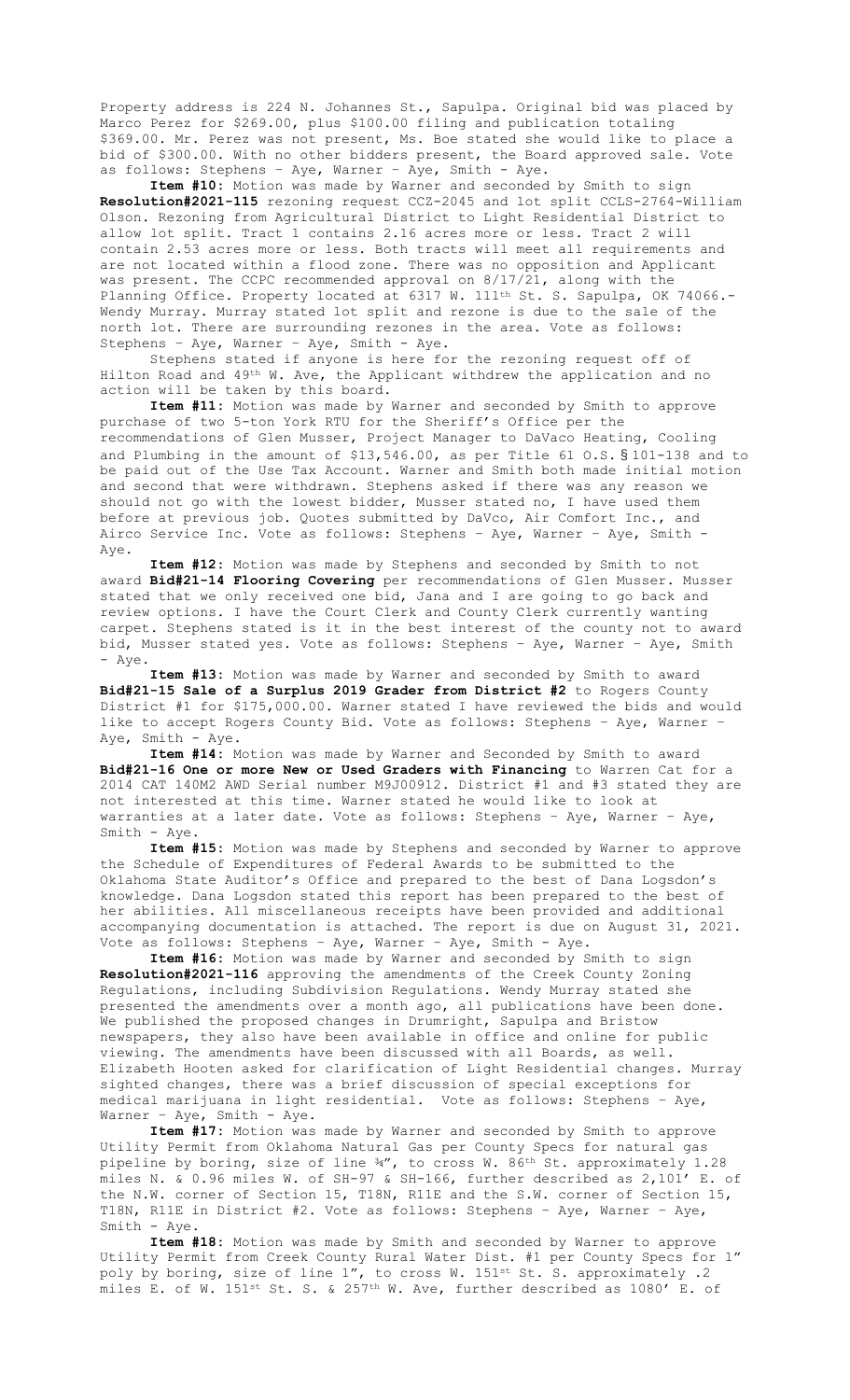Property address is 224 N. Johannes St., Sapulpa. Original bid was placed by Marco Perez for \$269.00, plus \$100.00 filing and publication totaling \$369.00. Mr. Perez was not present, Ms. Boe stated she would like to place a bid of \$300.00. With no other bidders present, the Board approved sale. Vote as follows: Stephens – Aye, Warner – Aye, Smith - Aye.

**Item #10:** Motion was made by Warner and seconded by Smith to sign **Resolution#2021-115** rezoning request CCZ-2045 and lot split CCLS-2764-William Olson. Rezoning from Agricultural District to Light Residential District to allow lot split. Tract 1 contains 2.16 acres more or less. Tract 2 will contain 2.53 acres more or less. Both tracts will meet all requirements and are not located within a flood zone. There was no opposition and Applicant was present. The CCPC recommended approval on 8/17/21, along with the Planning Office. Property located at 6317 W. 111<sup>th</sup> St. S. Sapulpa, OK 74066.-Wendy Murray. Murray stated lot split and rezone is due to the sale of the north lot. There are surrounding rezones in the area. Vote as follows: Stephens – Aye, Warner – Aye, Smith - Aye.

Stephens stated if anyone is here for the rezoning request off of Hilton Road and 49th W. Ave, the Applicant withdrew the application and no action will be taken by this board.

**Item #11:** Motion was made by Warner and seconded by Smith to approve purchase of two 5-ton York RTU for the Sheriff's Office per the recommendations of Glen Musser, Project Manager to DaVaco Heating, Cooling and Plumbing in the amount of \$13,546.00, as per Title 61 O.S. § 101-138 and to be paid out of the Use Tax Account. Warner and Smith both made initial motion and second that were withdrawn. Stephens asked if there was any reason we should not go with the lowest bidder, Musser stated no, I have used them before at previous job. Quotes submitted by DaVco, Air Comfort Inc., and Airco Service Inc. Vote as follows: Stephens – Aye, Warner – Aye, Smith - Aye.

**Item #12:** Motion was made by Stephens and seconded by Smith to not award **Bid#21-14 Flooring Covering** per recommendations of Glen Musser. Musser stated that we only received one bid, Jana and I are going to go back and review options. I have the Court Clerk and County Clerk currently wanting carpet. Stephens stated is it in the best interest of the county not to award bid, Musser stated yes. Vote as follows: Stephens – Aye, Warner – Aye, Smith - Aye.

**Item #13:** Motion was made by Warner and seconded by Smith to award **Bid#21-15 Sale of a Surplus 2019 Grader from District #2** to Rogers County District #1 for \$175,000.00. Warner stated I have reviewed the bids and would like to accept Rogers County Bid. Vote as follows: Stephens – Aye, Warner – Aye, Smith - Aye.

**Item #14:** Motion was made by Warner and Seconded by Smith to award **Bid#21-16 One or more New or Used Graders with Financing** to Warren Cat for a 2014 CAT 140M2 AWD Serial number M9J00912. District #1 and #3 stated they are not interested at this time. Warner stated he would like to look at warranties at a later date. Vote as follows: Stephens – Aye, Warner – Aye, Smith - Aye.

**Item #15:** Motion was made by Stephens and seconded by Warner to approve the Schedule of Expenditures of Federal Awards to be submitted to the Oklahoma State Auditor's Office and prepared to the best of Dana Logsdon's knowledge. Dana Logsdon stated this report has been prepared to the best of her abilities. All miscellaneous receipts have been provided and additional accompanying documentation is attached. The report is due on August 31, 2021. Vote as follows: Stephens - Aye, Warner - Aye, Smith - Aye.

**Item #16:** Motion was made by Warner and seconded by Smith to sign **Resolution#2021-116** approving the amendments of the Creek County Zoning Regulations, including Subdivision Regulations. Wendy Murray stated she presented the amendments over a month ago, all publications have been done. We published the proposed changes in Drumright, Sapulpa and Bristow newspapers, they also have been available in office and online for public viewing. The amendments have been discussed with all Boards, as well. Elizabeth Hooten asked for clarification of Light Residential changes. Murray sighted changes, there was a brief discussion of special exceptions for medical marijuana in light residential. Vote as follows: Stephens – Aye, Warner – Aye, Smith - Aye.

**Item #17:** Motion was made by Warner and seconded by Smith to approve Utility Permit from Oklahoma Natural Gas per County Specs for natural gas pipeline by boring, size of line ¾", to cross W. 86th St. approximately 1.28 miles N. & 0.96 miles W. of SH-97 & SH-166, further described as 2,101' E. of the N.W. corner of Section 15, T18N, R11E and the S.W. corner of Section 15, T18N, R11E in District #2. Vote as follows: Stephens – Aye, Warner – Aye, Smith - Aye.

**Item #18:** Motion was made by Smith and seconded by Warner to approve Utility Permit from Creek County Rural Water Dist. #1 per County Specs for 1" poly by boring, size of line 1", to cross W. 151st St. S. approximately .2 miles E. of W.  $151^{st}$  St. S. &  $257^{th}$  W. Ave, further described as  $1080'$  E. of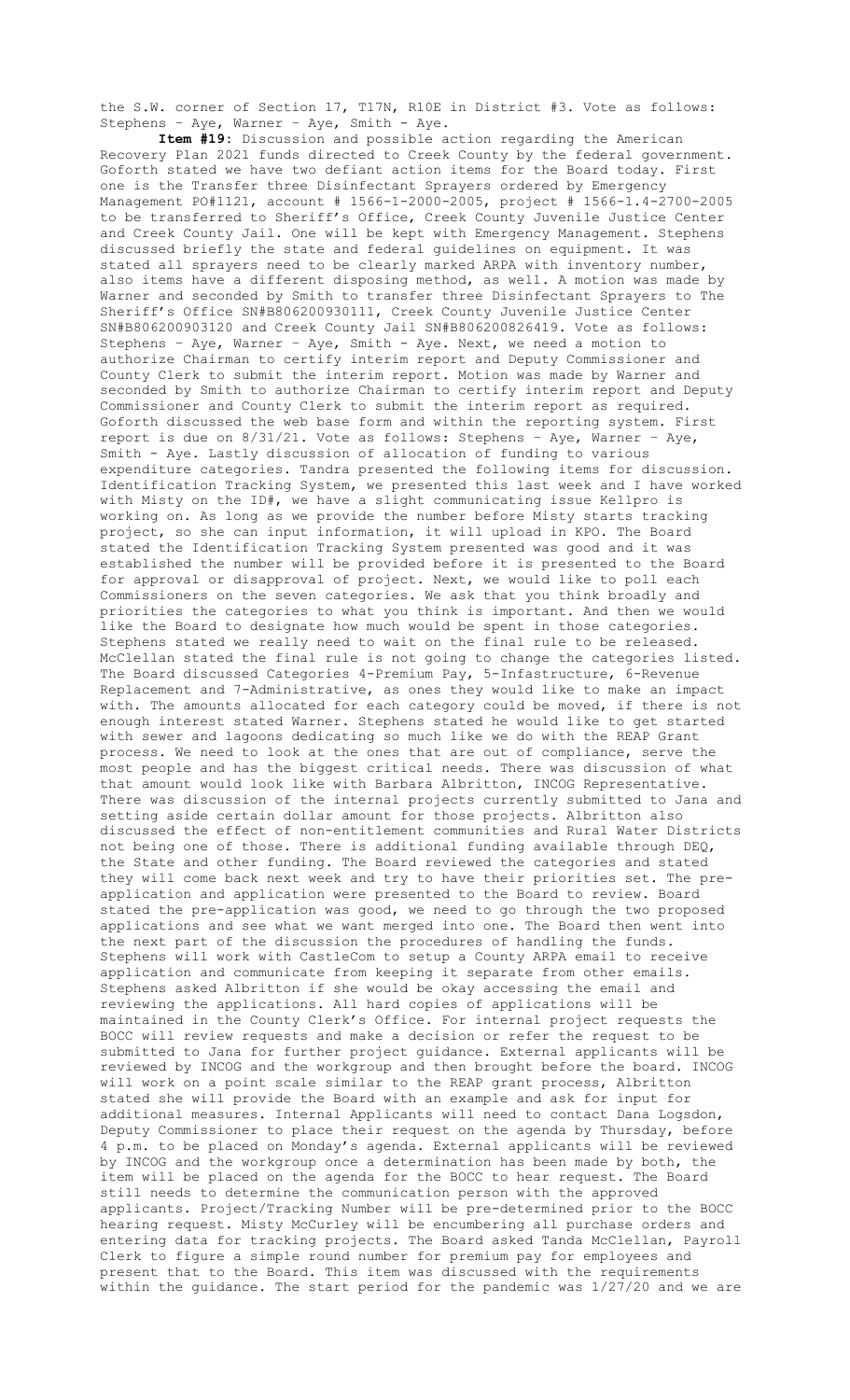the S.W. corner of Section 17, T17N, R10E in District #3. Vote as follows: Stephens – Aye, Warner – Aye, Smith - Aye.

**Item #19:** Discussion and possible action regarding the American Recovery Plan 2021 funds directed to Creek County by the federal government. Goforth stated we have two defiant action items for the Board today. First one is the Transfer three Disinfectant Sprayers ordered by Emergency Management PO#1121, account # 1566-1-2000-2005, project # 1566-1.4-2700-2005 to be transferred to Sheriff's Office, Creek County Juvenile Justice Center and Creek County Jail. One will be kept with Emergency Management. Stephens discussed briefly the state and federal guidelines on equipment. It was stated all sprayers need to be clearly marked ARPA with inventory number, also items have a different disposing method, as well. A motion was made by Warner and seconded by Smith to transfer three Disinfectant Sprayers to The Sheriff's Office SN#B806200930111, Creek County Juvenile Justice Center SN#B806200903120 and Creek County Jail SN#B806200826419. Vote as follows: Stephens – Aye, Warner – Aye, Smith - Aye. Next, we need a motion to authorize Chairman to certify interim report and Deputy Commissioner and County Clerk to submit the interim report. Motion was made by Warner and seconded by Smith to authorize Chairman to certify interim report and Deputy Commissioner and County Clerk to submit the interim report as required. Goforth discussed the web base form and within the reporting system. First report is due on 8/31/21. Vote as follows: Stephens – Aye, Warner – Aye, Smith - Aye. Lastly discussion of allocation of funding to various expenditure categories. Tandra presented the following items for discussion. Identification Tracking System, we presented this last week and I have worked with Misty on the ID#, we have a slight communicating issue Kellpro is working on. As long as we provide the number before Misty starts tracking project, so she can input information, it will upload in KPO. The Board stated the Identification Tracking System presented was good and it was established the number will be provided before it is presented to the Board for approval or disapproval of project. Next, we would like to poll each Commissioners on the seven categories. We ask that you think broadly and priorities the categories to what you think is important. And then we would like the Board to designate how much would be spent in those categories. Stephens stated we really need to wait on the final rule to be released. McClellan stated the final rule is not going to change the categories listed. The Board discussed Categories 4-Premium Pay, 5-Infastructure, 6-Revenue Replacement and 7-Administrative, as ones they would like to make an impact with. The amounts allocated for each category could be moved, if there is not enough interest stated Warner. Stephens stated he would like to get started with sewer and lagoons dedicating so much like we do with the REAP Grant process. We need to look at the ones that are out of compliance, serve the most people and has the biggest critical needs. There was discussion of what that amount would look like with Barbara Albritton, INCOG Representative. There was discussion of the internal projects currently submitted to Jana and setting aside certain dollar amount for those projects. Albritton also discussed the effect of non-entitlement communities and Rural Water Districts not being one of those. There is additional funding available through DEQ, the State and other funding. The Board reviewed the categories and stated they will come back next week and try to have their priorities set. The preapplication and application were presented to the Board to review. Board stated the pre-application was good, we need to go through the two proposed applications and see what we want merged into one. The Board then went into the next part of the discussion the procedures of handling the funds. Stephens will work with CastleCom to setup a County ARPA email to receive application and communicate from keeping it separate from other emails. Stephens asked Albritton if she would be okay accessing the email and reviewing the applications. All hard copies of applications will be maintained in the County Clerk's Office. For internal project requests the BOCC will review requests and make a decision or refer the request to be submitted to Jana for further project guidance. External applicants will be reviewed by INCOG and the workgroup and then brought before the board. INCOG will work on a point scale similar to the REAP grant process, Albritton stated she will provide the Board with an example and ask for input for additional measures. Internal Applicants will need to contact Dana Logsdon, Deputy Commissioner to place their request on the agenda by Thursday, before 4 p.m. to be placed on Monday's agenda. External applicants will be reviewed by INCOG and the workgroup once a determination has been made by both, the item will be placed on the agenda for the BOCC to hear request. The Board still needs to determine the communication person with the approved applicants. Project/Tracking Number will be pre-determined prior to the BOCC hearing request. Misty McCurley will be encumbering all purchase orders and entering data for tracking projects. The Board asked Tanda McClellan, Payroll Clerk to figure a simple round number for premium pay for employees and present that to the Board. This item was discussed with the requirements within the guidance. The start period for the pandemic was 1/27/20 and we are